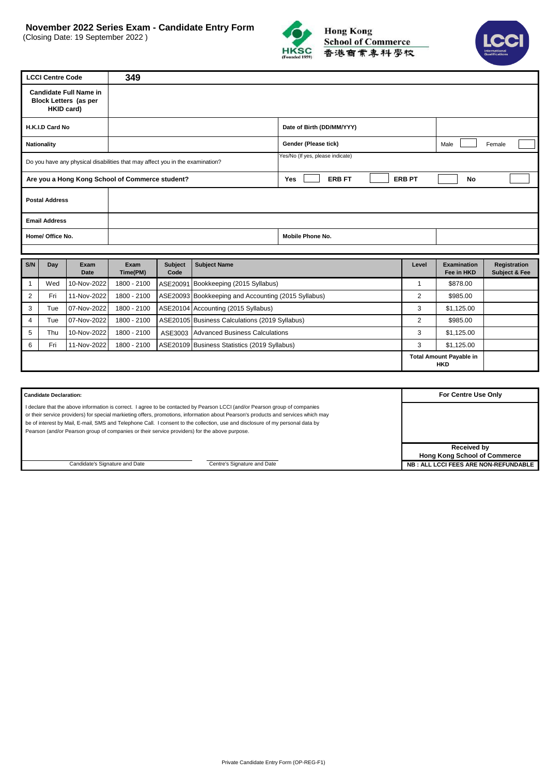(Closing Date: 19 September 2022 )





| <b>LCCI Centre Code</b>                                                                                           | 349                        |                             |               |             |                     |
|-------------------------------------------------------------------------------------------------------------------|----------------------------|-----------------------------|---------------|-------------|---------------------|
| <b>Candidate Full Name in</b><br><b>Block Letters (as per</b><br><b>HKID card)</b>                                |                            |                             |               |             |                     |
| H.K.I.D Card No                                                                                                   |                            | Date of Birth (DD/MM/YYY)   |               |             |                     |
| Nationality                                                                                                       |                            | Gender (Please tick)        |               | Male        | Female              |
| Yes/No (If yes, please indicate)<br>Do you have any physical disabilities that may affect you in the examination? |                            |                             |               |             |                     |
| Are you a Hong Kong School of Commerce student?                                                                   |                            | <b>Yes</b><br><b>ERB FT</b> | <b>ERB PT</b> | No          |                     |
| <b>Postal Address</b>                                                                                             |                            |                             |               |             |                     |
| <b>Email Address</b>                                                                                              |                            |                             |               |             |                     |
| Home/ Office No.                                                                                                  |                            | Mobile Phone No.            |               |             |                     |
|                                                                                                                   |                            |                             |               |             |                     |
| <b>CALL</b><br>Dou.<br>Evam                                                                                       | Cubing Cubing Name<br>Evam |                             | $L$ aval      | Evamination | <b>Dogiotration</b> |

| S/N | Dav | Exam<br>Date | Exam<br>Time(PM) | <b>Subject</b><br>Code | <b>Subject Name</b>                                 | Level | <b>Examination</b><br>Fee in HKD      | Registration<br><b>Subject &amp; Fee</b> |
|-----|-----|--------------|------------------|------------------------|-----------------------------------------------------|-------|---------------------------------------|------------------------------------------|
|     | Wed | 10-Nov-2022  | 1800 - 2100      |                        | ASE20091 Bookkeeping (2015 Syllabus)                |       | \$878.00                              |                                          |
|     | Fri | 11-Nov-2022  | 1800 - 2100      |                        | ASE20093 Bookkeeping and Accounting (2015 Syllabus) | 2     | \$985.00                              |                                          |
|     | Tue | 07-Nov-2022  | 1800 - 2100      |                        | ASE20104 Accounting (2015 Syllabus)                 | 3     | \$1,125.00                            |                                          |
| 4   | Tue | 07-Nov-2022  | 1800 - 2100      |                        | ASE20105 Business Calculations (2019 Syllabus)      | 2     | \$985.00                              |                                          |
|     | Thu | 10-Nov-2022  | 1800 - 2100      | ASE3003                | Advanced Business Calculations                      | 3     | \$1,125.00                            |                                          |
|     | Fri | 11-Nov-2022  | 1800 - 2100      |                        | ASE20109 Business Statistics (2019 Syllabus)        | 3     | \$1,125.00                            |                                          |
|     |     |              |                  |                        |                                                     |       | <b>Total Amount Payable in</b><br>HKD |                                          |

| <b>Candidate Declaration:</b>                                                                                                                                                                                                                                                                                                                                                                                                                                                                        | For Centre Use Only                                                                               |
|------------------------------------------------------------------------------------------------------------------------------------------------------------------------------------------------------------------------------------------------------------------------------------------------------------------------------------------------------------------------------------------------------------------------------------------------------------------------------------------------------|---------------------------------------------------------------------------------------------------|
| I declare that the above information is correct. I agree to be contacted by Pearson LCCI (and/or Pearson group of companies<br>or their service providers) for special markieting offers, promotions, information about Pearson's products and services which may<br>be of interest by Mail, E-mail, SMS and Telephone Call. I consent to the collection, use and disclosure of my personal data by<br>Pearson (and/or Pearson group of companies or their service providers) for the above purpose. |                                                                                                   |
| Candidate's Signature and Date<br>Centre's Signature and Date                                                                                                                                                                                                                                                                                                                                                                                                                                        | <b>Received by</b><br><b>Hong Kong School of Commerce</b><br>NB: ALL LCCI FEES ARE NON-REFUNDABLE |